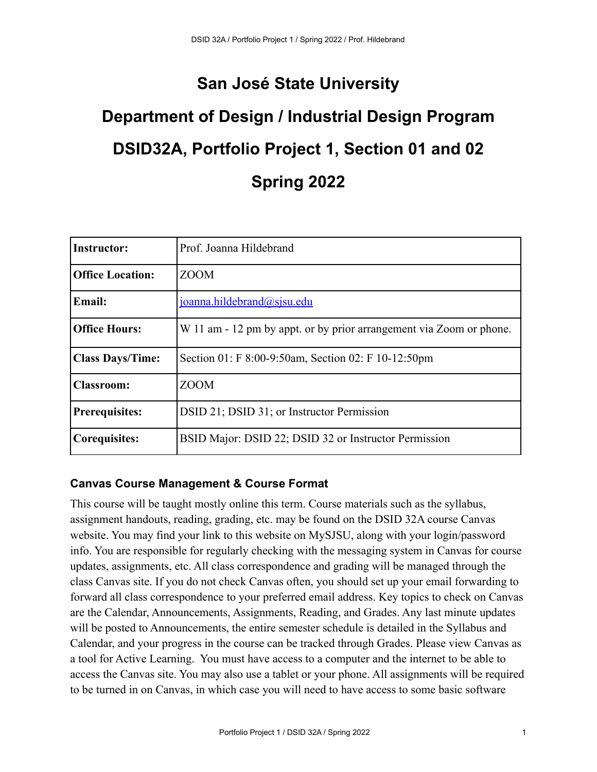# **San José State University**

# **Department of Design / Industrial Design Program DSID32A, Portfolio Project 1, Section 01 and 02 Spring 2022**

| <b>Instructor:</b>      | Prof. Joanna Hildebrand                                             |
|-------------------------|---------------------------------------------------------------------|
| <b>Office Location:</b> | <b>ZOOM</b>                                                         |
| <b>Email:</b>           | joanna.hildebrand@sjsu.edu                                          |
| <b>Office Hours:</b>    | W 11 am - 12 pm by appt. or by prior arrangement via Zoom or phone. |
| <b>Class Days/Time:</b> | Section 01: F 8:00-9:50am, Section 02: F 10-12:50pm                 |
| <b>Classroom:</b>       | <b>ZOOM</b>                                                         |
| <b>Prerequisites:</b>   | DSID 21; DSID 31; or Instructor Permission                          |
| <b>Corequisites:</b>    | BSID Major: DSID 22; DSID 32 or Instructor Permission               |

#### **Canvas Course Management & Course Format**

This course will be taught mostly online this term. Course materials such as the syllabus, assignment handouts, reading, grading, etc. may be found on the DSID 32A course Canvas website. You may find your link to this website on MySJSU, along with your login/password info. You are responsible for regularly checking with the messaging system in Canvas for course updates, assignments, etc. All class correspondence and grading will be managed through the class Canvas site. If you do not check Canvas often, you should set up your email forwarding to forward all class correspondence to your preferred email address. Key topics to check on Canvas are the Calendar, Announcements, Assignments, Reading, and Grades. Any last minute updates will be posted to Announcements, the entire semester schedule is detailed in the Syllabus and Calendar, and your progress in the course can be tracked through Grades. Please view Canvas as a tool for Active Learning. You must have access to a computer and the internet to be able to access the Canvas site. You may also use a tablet or your phone. All assignments will be required to be turned in on Canvas, in which case you will need to have access to some basic software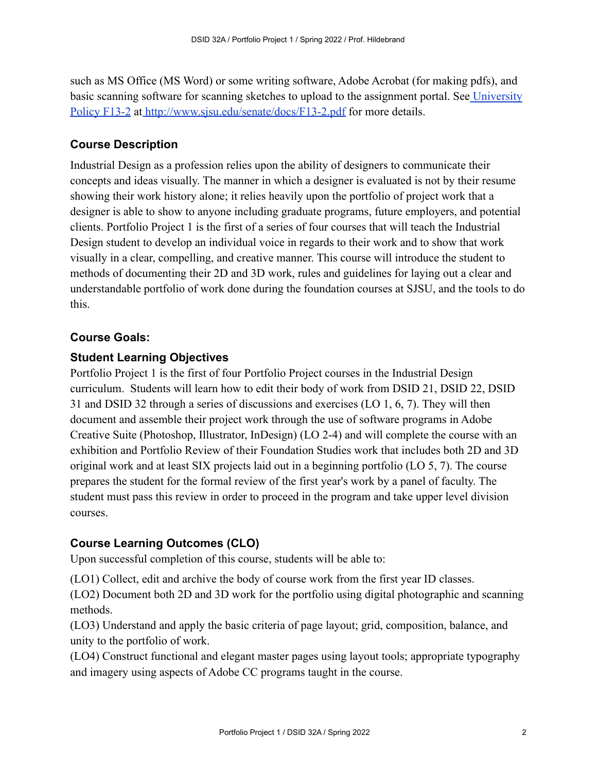such as MS Office (MS Word) or some writing software, Adobe Acrobat (for making pdfs), and basic scanning software for scanning sketches to upload to the assignment portal. See [University](http://www.sjsu.edu/senate/docs/F13-2.pdf) [Policy F13-2](http://www.sjsu.edu/senate/docs/F13-2.pdf) at <http://www.sjsu.edu/senate/docs/F13-2.pdf> for more details.

## **Course Description**

Industrial Design as a profession relies upon the ability of designers to communicate their concepts and ideas visually. The manner in which a designer is evaluated is not by their resume showing their work history alone; it relies heavily upon the portfolio of project work that a designer is able to show to anyone including graduate programs, future employers, and potential clients. Portfolio Project 1 is the first of a series of four courses that will teach the Industrial Design student to develop an individual voice in regards to their work and to show that work visually in a clear, compelling, and creative manner. This course will introduce the student to methods of documenting their 2D and 3D work, rules and guidelines for laying out a clear and understandable portfolio of work done during the foundation courses at SJSU, and the tools to do this.

#### **Course Goals:**

#### **Student Learning Objectives**

Portfolio Project 1 is the first of four Portfolio Project courses in the Industrial Design curriculum. Students will learn how to edit their body of work from DSID 21, DSID 22, DSID 31 and DSID 32 through a series of discussions and exercises (LO 1, 6, 7). They will then document and assemble their project work through the use of software programs in Adobe Creative Suite (Photoshop, Illustrator, InDesign) (LO 2-4) and will complete the course with an exhibition and Portfolio Review of their Foundation Studies work that includes both 2D and 3D original work and at least SIX projects laid out in a beginning portfolio (LO 5, 7). The course prepares the student for the formal review of the first year's work by a panel of faculty. The student must pass this review in order to proceed in the program and take upper level division courses.

#### **Course Learning Outcomes (CLO)**

Upon successful completion of this course, students will be able to:

(LO1) Collect, edit and archive the body of course work from the first year ID classes.

(LO2) Document both 2D and 3D work for the portfolio using digital photographic and scanning methods.

(LO3) Understand and apply the basic criteria of page layout; grid, composition, balance, and unity to the portfolio of work.

(LO4) Construct functional and elegant master pages using layout tools; appropriate typography and imagery using aspects of Adobe CC programs taught in the course.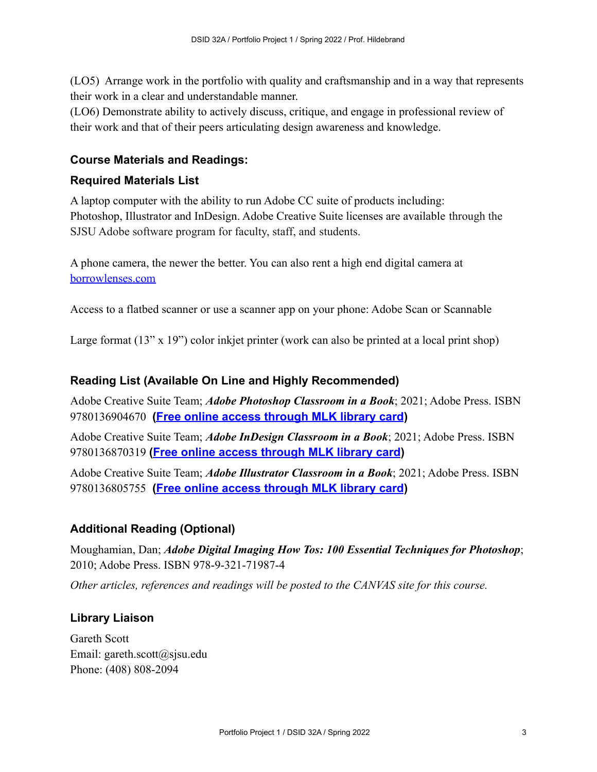(LO5) Arrange work in the portfolio with quality and craftsmanship and in a way that represents their work in a clear and understandable manner.

(LO6) Demonstrate ability to actively discuss, critique, and engage in professional review of their work and that of their peers articulating design awareness and knowledge.

## **Course Materials and Readings:**

#### **Required Materials List**

A laptop computer with the ability to run Adobe CC suite of products including: Photoshop, Illustrator and InDesign. Adobe Creative Suite licenses are available through the SJSU Adobe software program for faculty, staff, and students.

A phone camera, the newer the better. You can also rent a high end digital camera at [borrowlenses.com](http://borrowlenses.com)

Access to a flatbed scanner or use a scanner app on your phone: Adobe Scan or Scannable

Large format (13" x 19") color inkjet printer (work can also be printed at a local print shop)

#### **Reading List (Available On Line and Highly Recommended)**

Adobe Creative Suite Team; *Adobe Photoshop Classroom in a Book*; 2021; Adobe Press. ISBN 9780136904670 **[\(Free online access through MLK library](https://learning.oreilly.com/library/view/adobe-photoshop-classroom/9780136904670/) card)**

Adobe Creative Suite Team; *Adobe InDesign Classroom in a Book*; 2021; Adobe Press. ISBN 9780136870319 **([Free online access through MLK library](https://learning.oreilly.com/library/view/adobe-indesign-classroom/9780136870319/) card)**

Adobe Creative Suite Team; *Adobe Illustrator Classroom in a Book*; 2021; Adobe Press. ISBN 9780136805755 **[\(Free online access through MLK library](https://learning.oreilly.com/library/view/adobe-illustrator-classroom/9780136805755/) card)**

#### **Additional Reading (Optional)**

Moughamian, Dan; *Adobe Digital Imaging How Tos: 100 Essential Techniques for Photoshop*; 2010; Adobe Press. ISBN 978-9-321-71987-4

*Other articles, references and readings will be posted to the CANVAS site for this course.*

#### **Library Liaison**

Gareth Scott Email: gareth.scott@sjsu.edu Phone: (408) 808-2094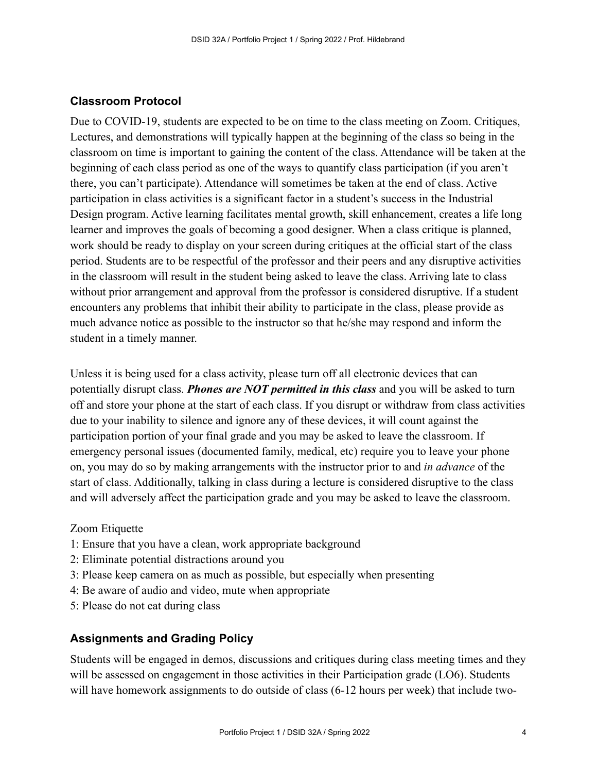#### **Classroom Protocol**

Due to COVID-19, students are expected to be on time to the class meeting on Zoom. Critiques, Lectures, and demonstrations will typically happen at the beginning of the class so being in the classroom on time is important to gaining the content of the class. Attendance will be taken at the beginning of each class period as one of the ways to quantify class participation (if you aren't there, you can't participate). Attendance will sometimes be taken at the end of class. Active participation in class activities is a significant factor in a student's success in the Industrial Design program. Active learning facilitates mental growth, skill enhancement, creates a life long learner and improves the goals of becoming a good designer. When a class critique is planned, work should be ready to display on your screen during critiques at the official start of the class period. Students are to be respectful of the professor and their peers and any disruptive activities in the classroom will result in the student being asked to leave the class. Arriving late to class without prior arrangement and approval from the professor is considered disruptive. If a student encounters any problems that inhibit their ability to participate in the class, please provide as much advance notice as possible to the instructor so that he/she may respond and inform the student in a timely manner.

Unless it is being used for a class activity, please turn off all electronic devices that can potentially disrupt class. *Phones are NOT permitted in this class* and you will be asked to turn off and store your phone at the start of each class. If you disrupt or withdraw from class activities due to your inability to silence and ignore any of these devices, it will count against the participation portion of your final grade and you may be asked to leave the classroom. If emergency personal issues (documented family, medical, etc) require you to leave your phone on, you may do so by making arrangements with the instructor prior to and *in advance* of the start of class. Additionally, talking in class during a lecture is considered disruptive to the class and will adversely affect the participation grade and you may be asked to leave the classroom.

#### Zoom Etiquette

- 1: Ensure that you have a clean, work appropriate background
- 2: Eliminate potential distractions around you
- 3: Please keep camera on as much as possible, but especially when presenting
- 4: Be aware of audio and video, mute when appropriate
- 5: Please do not eat during class

#### **Assignments and Grading Policy**

Students will be engaged in demos, discussions and critiques during class meeting times and they will be assessed on engagement in those activities in their Participation grade (LO6). Students will have homework assignments to do outside of class (6-12 hours per week) that include two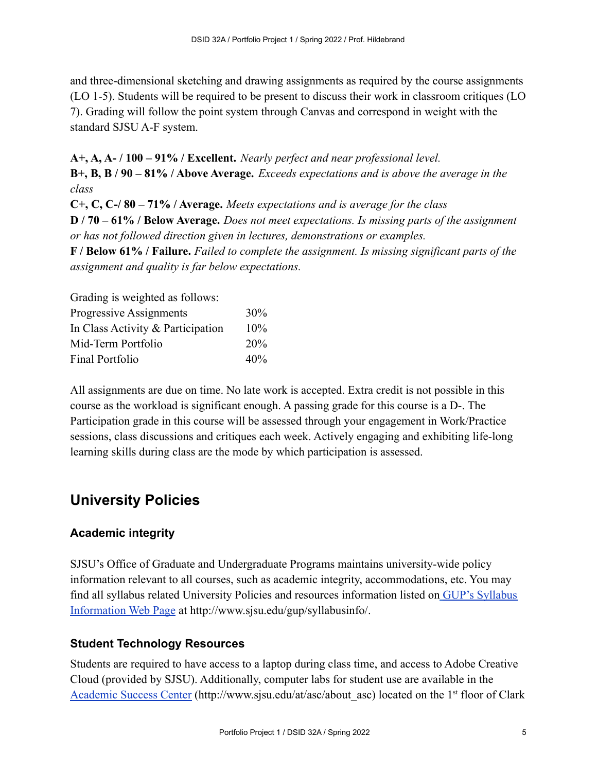and three-dimensional sketching and drawing assignments as required by the course assignments (LO 1-5). Students will be required to be present to discuss their work in classroom critiques (LO 7). Grading will follow the point system through Canvas and correspond in weight with the standard SJSU A-F system.

**A+, A, A- / 100 – 91% / Excellent.** *Nearly perfect and near professional level.* **B+, B, B / 90 – 81% / Above Average.** *Exceeds expectations and is above the average in the class*

**C+, C, C-/ 80 – 71% / Average.** *Meets expectations and is average for the class* **D / 70 – 61% / Below Average.** *Does not meet expectations. Is missing parts of the assignment or has not followed direction given in lectures, demonstrations or examples.*

**F / Below 61% / Failure.** *Failed to complete the assignment. Is missing significant parts of the assignment and quality is far below expectations.*

Grading is weighted as follows:

| Progressive Assignments           | $30\%$ |
|-----------------------------------|--------|
| In Class Activity & Participation | $10\%$ |
| Mid-Term Portfolio                | 20%    |
| Final Portfolio                   | 40%    |

All assignments are due on time. No late work is accepted. Extra credit is not possible in this course as the workload is significant enough. A passing grade for this course is a D-. The Participation grade in this course will be assessed through your engagement in Work/Practice sessions, class discussions and critiques each week. Actively engaging and exhibiting life-long learning skills during class are the mode by which participation is assessed.

# **University Policies**

## **Academic integrity**

SJSU's Office of Graduate and Undergraduate Programs maintains university-wide policy information relevant to all courses, such as academic integrity, accommodations, etc. You may find all syllabus related University Policies and resources information listed on [GUP's Syllabus](http://www.sjsu.edu/gup/syllabusinfo/) [Information Web Page](http://www.sjsu.edu/gup/syllabusinfo/) at http://www.sjsu.edu/gup/syllabusinfo/.

## **Student Technology Resources**

Students are required to have access to a laptop during class time, and access to Adobe Creative Cloud (provided by SJSU). Additionally, computer labs for student use are available in the [Academic Success Center](http://www.sjsu.edu/at/asc/about_asc/) (http://www.sjsu.edu/at/asc/about asc) located on the 1<sup>st</sup> floor of Clark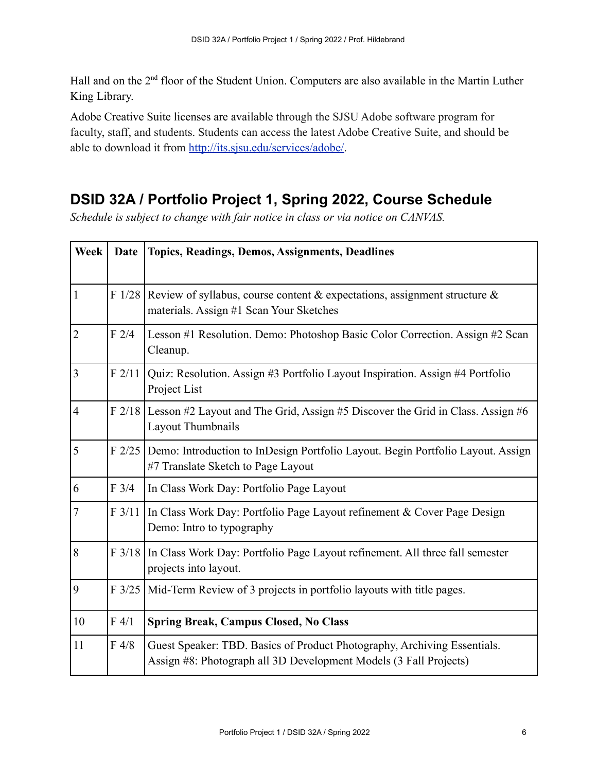Hall and on the 2<sup>nd</sup> floor of the Student Union. Computers are also available in the Martin Luther King Library.

Adobe Creative Suite licenses are available through the SJSU Adobe software program for faculty, staff, and students. Students can access the latest Adobe Creative Suite, and should be able to download it from [http://its.sjsu.edu/services/adobe/.](http://its.sjsu.edu/services/adobe/)

# **DSID 32A / Portfolio Project 1, Spring 2022, Course Schedule**

*Schedule is subject to change with fair notice in class or via notice on CANVAS.*

| <b>Week</b>    | <b>Date</b> | Topics, Readings, Demos, Assignments, Deadlines                                                                                               |
|----------------|-------------|-----------------------------------------------------------------------------------------------------------------------------------------------|
| $\mathbf{1}$   |             | F 1/28 Review of syllabus, course content & expectations, assignment structure &<br>materials. Assign #1 Scan Your Sketches                   |
| $\overline{2}$ | F2/4        | Lesson #1 Resolution. Demo: Photoshop Basic Color Correction. Assign #2 Scan<br>Cleanup.                                                      |
| $\overline{3}$ | F2/11       | Quiz: Resolution. Assign #3 Portfolio Layout Inspiration. Assign #4 Portfolio<br>Project List                                                 |
| $\overline{4}$ |             | F 2/18 Lesson #2 Layout and The Grid, Assign #5 Discover the Grid in Class. Assign #6<br>Layout Thumbnails                                    |
| 5              |             | F 2/25 Demo: Introduction to InDesign Portfolio Layout. Begin Portfolio Layout. Assign<br>#7 Translate Sketch to Page Layout                  |
| 6              | F3/4        | In Class Work Day: Portfolio Page Layout                                                                                                      |
| $\overline{7}$ | F3/11       | In Class Work Day: Portfolio Page Layout refinement & Cover Page Design<br>Demo: Intro to typography                                          |
| 8              |             | F 3/18 In Class Work Day: Portfolio Page Layout refinement. All three fall semester<br>projects into layout.                                  |
| 9              |             | F 3/25 Mid-Term Review of 3 projects in portfolio layouts with title pages.                                                                   |
| 10             | F 4/1       | <b>Spring Break, Campus Closed, No Class</b>                                                                                                  |
| 11             | F 4/8       | Guest Speaker: TBD. Basics of Product Photography, Archiving Essentials.<br>Assign #8: Photograph all 3D Development Models (3 Fall Projects) |